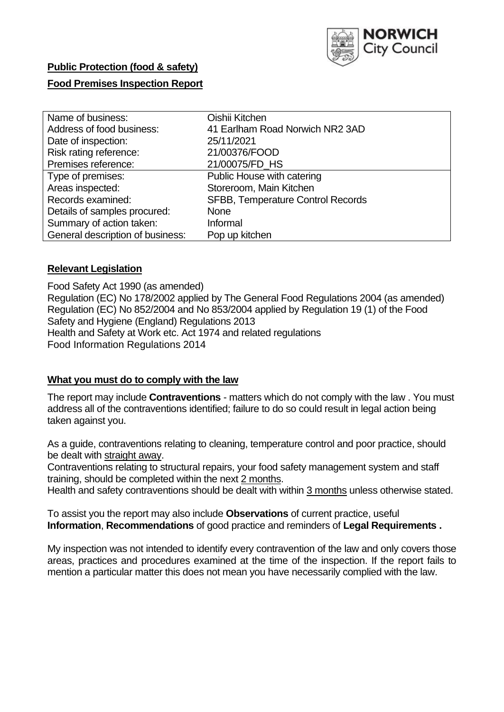

## **Public Protection (food & safety)**

### **Food Premises Inspection Report**

| Name of business:                | Oishii Kitchen                    |
|----------------------------------|-----------------------------------|
| Address of food business:        | 41 Earlham Road Norwich NR2 3AD   |
| Date of inspection:              | 25/11/2021                        |
| Risk rating reference:           | 21/00376/FOOD                     |
| Premises reference:              | 21/00075/FD_HS                    |
| Type of premises:                | Public House with catering        |
| Areas inspected:                 | Storeroom, Main Kitchen           |
| Records examined:                | SFBB, Temperature Control Records |
| Details of samples procured:     | <b>None</b>                       |
| Summary of action taken:         | Informal                          |
| General description of business: | Pop up kitchen                    |

#### **Relevant Legislation**

 Food Safety Act 1990 (as amended) Regulation (EC) No 178/2002 applied by The General Food Regulations 2004 (as amended) Regulation (EC) No 852/2004 and No 853/2004 applied by Regulation 19 (1) of the Food Safety and Hygiene (England) Regulations 2013 Health and Safety at Work etc. Act 1974 and related regulations Food Information Regulations 2014

#### **What you must do to comply with the law**

 The report may include **Contraventions** - matters which do not comply with the law . You must address all of the contraventions identified; failure to do so could result in legal action being taken against you.

 As a guide, contraventions relating to cleaning, temperature control and poor practice, should be dealt with straight away.

 Contraventions relating to structural repairs, your food safety management system and staff training, should be completed within the next 2 months.

Health and safety contraventions should be dealt with within 3 months unless otherwise stated.

 To assist you the report may also include **Observations** of current practice, useful **Information**, **Recommendations** of good practice and reminders of **Legal Requirements .** 

 My inspection was not intended to identify every contravention of the law and only covers those areas, practices and procedures examined at the time of the inspection. If the report fails to mention a particular matter this does not mean you have necessarily complied with the law.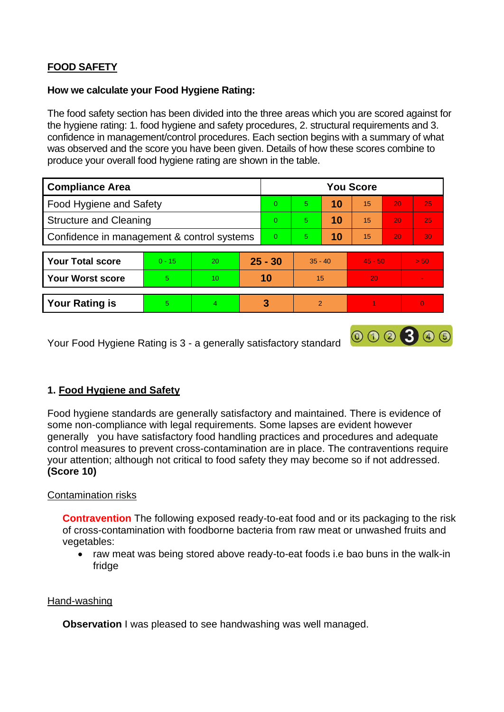# **FOOD SAFETY**

#### **How we calculate your Food Hygiene Rating:**

 The food safety section has been divided into the three areas which you are scored against for the hygiene rating: 1. food hygiene and safety procedures, 2. structural requirements and 3. confidence in management/control procedures. Each section begins with a summary of what was observed and the score you have been given. Details of how these scores combine to produce your overall food hygiene rating are shown in the table.

| <b>Compliance Area</b>                     |          |    |           | <b>You Score</b> |               |    |           |                 |                |  |  |
|--------------------------------------------|----------|----|-----------|------------------|---------------|----|-----------|-----------------|----------------|--|--|
| Food Hygiene and Safety                    |          |    |           | $\Omega$         | 5             | 10 | 15        | 20              | 25             |  |  |
| <b>Structure and Cleaning</b>              |          |    | $\Omega$  | 5                | 10            | 15 | 20        | 25              |                |  |  |
| Confidence in management & control systems |          |    | $\Omega$  | 5                | 10            | 15 | 20        | 30 <sup>°</sup> |                |  |  |
|                                            |          |    |           |                  |               |    |           |                 |                |  |  |
| <b>Your Total score</b>                    | $0 - 15$ | 20 | $25 - 30$ |                  | $35 - 40$     |    | $45 - 50$ |                 | > 50           |  |  |
| <b>Your Worst score</b>                    | 5        | 10 | 10        |                  | 15            |    | 20        |                 |                |  |  |
|                                            |          |    |           |                  |               |    |           |                 |                |  |  |
| <b>Your Rating is</b>                      | 5        | 4  |           | 3                | $\mathcal{P}$ |    |           |                 | $\overline{0}$ |  |  |

Your Food Hygiene Rating is 3 - a generally satisfactory standard

# **1. Food Hygiene and Safety**

 generally you have satisfactory food handling practices and procedures and adequate Food hygiene standards are generally satisfactory and maintained. There is evidence of some non-compliance with legal requirements. Some lapses are evident however control measures to prevent cross-contamination are in place. The contraventions require your attention; although not critical to food safety they may become so if not addressed. **(Score 10)** 

000300

### Contamination risks

**Contravention** The following exposed ready-to-eat food and or its packaging to the risk of cross-contamination with foodborne bacteria from raw meat or unwashed fruits and vegetables:

fridge • raw meat was being stored above ready-to-eat foods i.e bao buns in the walk-in

### Hand-washing

**Observation** I was pleased to see handwashing was well managed.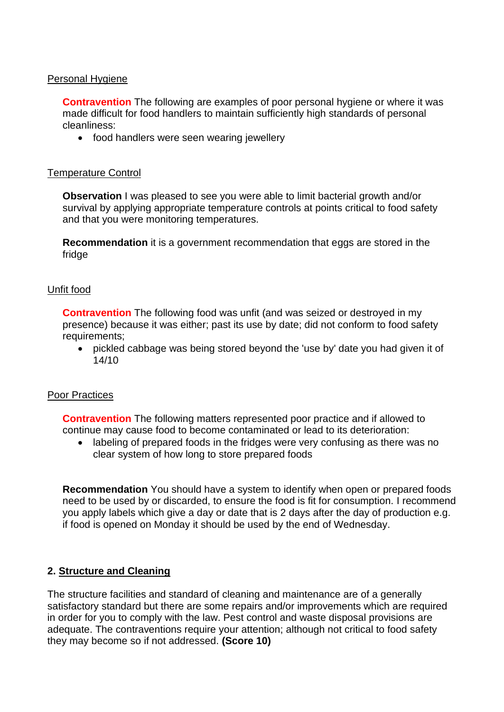## Personal Hygiene

 made difficult for food handlers to maintain sufficiently high standards of personal **Contravention** The following are examples of poor personal hygiene or where it was cleanliness:

• food handlers were seen wearing jewellery

#### Temperature Control

**Observation** I was pleased to see you were able to limit bacterial growth and/or survival by applying appropriate temperature controls at points critical to food safety and that you were monitoring temperatures.

**Recommendation** it is a government recommendation that eggs are stored in the fridge

#### Unfit food

**Contravention** The following food was unfit (and was seized or destroyed in my presence) because it was either; past its use by date; did not conform to food safety requirements;

 • pickled cabbage was being stored beyond the 'use by' date you had given it of 14/10

#### Poor Practices

 **Contravention** The following matters represented poor practice and if allowed to continue may cause food to become contaminated or lead to its deterioration:

• labeling of prepared foods in the fridges were very confusing as there was no clear system of how long to store prepared foods

 you apply labels which give a day or date that is 2 days after the day of production e.g. **Recommendation** You should have a system to identify when open or prepared foods need to be used by or discarded, to ensure the food is fit for consumption. I recommend if food is opened on Monday it should be used by the end of Wednesday.

### **2. Structure and Cleaning**

The structure facilities and standard of cleaning and maintenance are of a generally satisfactory standard but there are some repairs and/or improvements which are required in order for you to comply with the law. Pest control and waste disposal provisions are adequate. The contraventions require your attention; although not critical to food safety they may become so if not addressed. **(Score 10)**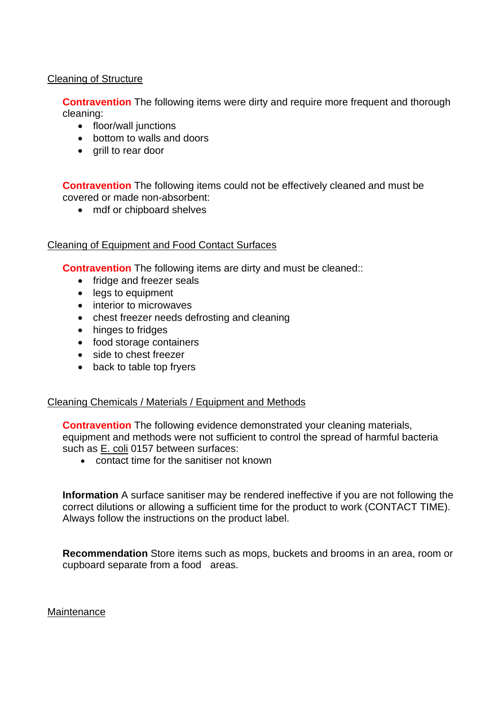## Cleaning of Structure

**Contravention** The following items were dirty and require more frequent and thorough cleaning:

- floor/wall junctions
- bottom to walls and doors
- grill to rear door

 **Contravention** The following items could not be effectively cleaned and must be covered or made non-absorbent:

• mdf or chipboard shelves

#### Cleaning of Equipment and Food Contact Surfaces

**Contravention** The following items are dirty and must be cleaned::

- fridge and freezer seals
- legs to equipment
- interior to microwaves
- chest freezer needs defrosting and cleaning
- hinges to fridges
- food storage containers
- side to chest freezer
- back to table top fryers

#### Cleaning Chemicals / Materials / Equipment and Methods

**Contravention** The following evidence demonstrated your cleaning materials, equipment and methods were not sufficient to control the spread of harmful bacteria such as E. coli 0157 between surfaces:

• contact time for the sanitiser not known

**Information** A surface sanitiser may be rendered ineffective if you are not following the correct dilutions or allowing a sufficient time for the product to work (CONTACT TIME). Always follow the instructions on the product label.

 cupboard separate from a food areas. **Recommendation** Store items such as mops, buckets and brooms in an area, room or

**Maintenance**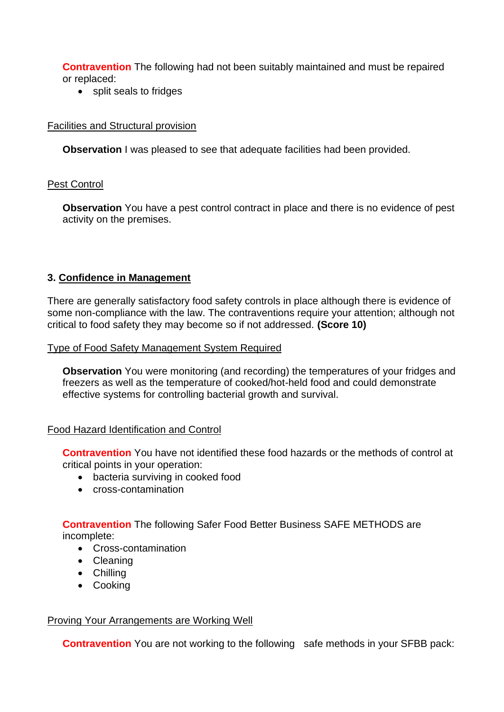**Contravention** The following had not been suitably maintained and must be repaired or replaced:

• split seals to fridges

## Facilities and Structural provision

**Observation** I was pleased to see that adequate facilities had been provided.

## Pest Control

 **Observation** You have a pest control contract in place and there is no evidence of pest activity on the premises.

# **3. Confidence in Management**

 There are generally satisfactory food safety controls in place although there is evidence of some non-compliance with the law. The contraventions require your attention; although not critical to food safety they may become so if not addressed. **(Score 10)** 

### Type of Food Safety Management System Required

**Observation** You were monitoring (and recording) the temperatures of your fridges and freezers as well as the temperature of cooked/hot-held food and could demonstrate effective systems for controlling bacterial growth and survival.

### Food Hazard Identification and Control

**Contravention** You have not identified these food hazards or the methods of control at critical points in your operation:

- bacteria surviving in cooked food
- cross-contamination

**Contravention** The following Safer Food Better Business SAFE METHODS are incomplete:

- Cross-contamination
- Cleaning
- Chilling
- Cooking

### Proving Your Arrangements are Working Well

**Contravention** You are not working to the following safe methods in your SFBB pack: